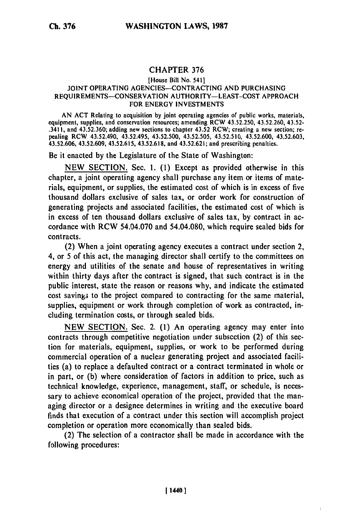## CHAPTER **376**

## [House Bill No. 541] JOINT OPERATING AGENCIES-CONTRACTING AND PURCHASING REQUIREMENTS-CONSERVATION AUTHORITY-LEAST-COST APPROACH FOR ENERGY INVESTMENTS

AN ACT Relating to acquisition by joint operating agencies of public works, materials, equipment, supplies, and conservation resources; amending RCW 43.52.250, 43.52.260, 43.52- .3411, and 43.52,360; adding new sections to chapter 43.52 RCW; creating a new section; repealing RCW 43.52.490, 43.52.495, 43.52.500, 43.52.505, 43,52.510, 43.52.600, 43.52.603, 43.52.606, 43.52.609, 43.52.615, 43.52.618, and 43.52.621; and prescribing penalties.

Be it enacted by the Legislature of the State of Washington:

NEW SECTION. Sec. 1. **(1)** Except as provided otherwise in this chapter, a joint operating agency shall purchase any item or items of materials, equipment, or supplies, the estimated cost of which is in excess of five thousand dollars exclusive of sales tax, or order work for construction of generating projects and associated facilities, the estimated cost of which is in excess of ten thousand dollars exclusive of sales tax, by contract in accordance with RCW 54.04.070 and 54.04.080, which require sealed bids for contracts.

(2) When a joint operating agency executes a contract under section 2, 4, or 5 of this act, the managing director shall certify to the committees on energy and utilities of the senate and house of representatives in writing within thirty days after the contract is signed, that such contract is in the public interest, state the reason or reasons why, and indicate the estimated cost savings to the project compared to contracting for the same material, supplies, equipment or work through completion of work as contracted, including termination costs, or through sealed bids.

NEW SECTION. Sec. 2. (1) An operating agency may enter into contracts through competitive negotiation under subsection (2) of this section for materials, equipment, supplies, or work to be performed during commercial operation of a nuclear generating project and associated facilities (a) to replace a defaulted contract or a contract terminated in whole or in part, or **(b)** where consideration of factors in addition to price, such as technical knowledge, experience, management, staff, or schedule, is necessary to achieve economical operation of the project, provided that the managing director or a designee determines in writing and the executive board finds that execution of a contract under this section will accomplish project completion or operation more economically than sealed bids.

(2) The selection of a contractor shall be made in accordance with the following procedures: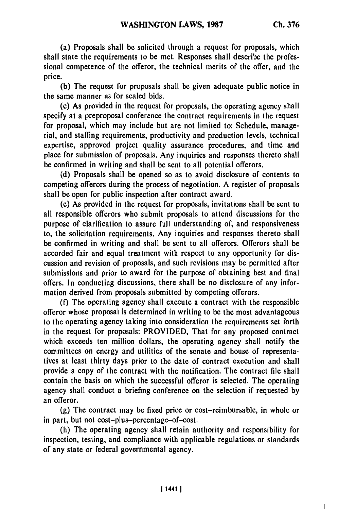(a) Proposals shall be solicited through a request for proposals, which shall state the requirements to be met. Responses shall describe the professional competence of the offeror, the technical merits of the offer, and the price.

**(b)** The request for proposals shall be given adequate public notice in the same manner as for sealed bids.

(c) As provided in the request for proposals, the operating agency shall specify at a preproposal conference the contract requirements in the request for proposal, which may include but are not limited to: Schedule, managerial, and staffing requirements, productivity and production levels, technical expertise, approved project quality assurance procedures, and time and place for submission of proposals. Any inquiries and responses thereto shall be confirmed in writing and shall be sent to all potential offerors.

**(d)** Proposals shall be opened so as to avoid disclosure of contents to competing offerors during the process of negotiation. **A** register of proposals shall be open for public inspection after contract award.

(e) As provided in the request for proposals, invitations shall **be** sent to all responsible offerors who submit proposals to attend discussions for the purpose of clarification to assure full understanding of, and responsiveness to, the solicitation requirements. Any inquiries and responses thereto shall be confirmed in writing and shall be sent to all offerors. Offerors shall be accorded fair and equal treatment with respect to any opportunity for discussion and revision of proposals, and such revisions may be permitted after submissions and prior to award for the purpose of obtaining best and final offers. In conducting discussions, there shall be no disclosure of any information derived from proposals submitted **by** competing offerors.

**(f)** The operating agency shall execute a contract with the responsible offeror whose proposal is determined in writing to **be** the most advantageous to the operating agency taking into consideration the requirements set forth in the request for proposals: PROVIDED, That for any proposed contract which exceeds ten million dollars, the operating agency shall notify the committees on energy and utilities of the senate and house of representatives at least thirty days prior to the date of contract execution and shall provide a copy of the contract with the notification. The contract file shall contain the basis on which the successful offeror is selected. The operating agency shall conduct a briefing conference on the selection if requested **by** an offeror.

**(g)** The contract may be fixed price or cost-reimbursable, in whole or in part, but not cost-plus-percentage-of-cost.

(h) The operating agency shall retain authority and responsibility for inspection, testing, and compliance with applicable regulations or standards of any state or federal governmental agency.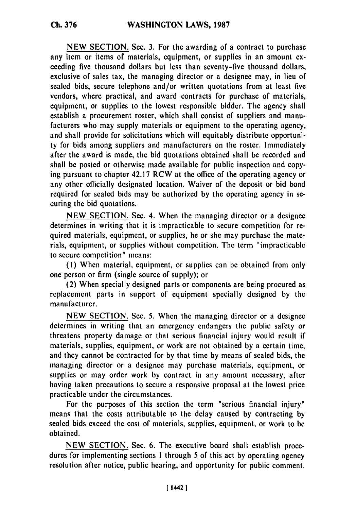**NEW** SECTION. Sec. **3.** For the awarding of a contract to purchase any item or items of materials, equipment, or supplies in an amount exceeding five thousand dollars but less than seventy-five thousand dollars, exclusive of sales tax, the managing director or a designee may, in lieu of sealed bids, secure telephone and/or written quotations from at least five vendors, where practical, and award contracts for purchase of materials, equipment, or supplies to the lowest responsible bidder. The agency shall establish a procurement roster, which shall consist of suppliers and manufacturers who may supply materials or equipment to the operating agency, and shall provide for solicitations which will equitably distribute opportunity for bids among suppliers and manufacturers on the roster. Immediately after the award is made, the bid quotations obtained shall be recorded and shall be posted or otherwise made available for public inspection and copying pursuant to chapter 42.17 RCW at the office of the operating agency or any other officially designated location. Waiver of the deposit or bid bond required for sealed bids may be authorized by the operating agency in securing the bid quotations.

NEW SECTION. Sec. 4. When the managing director or a designee determines in writing that it is impracticable to secure competition for required materials, equipment, or supplies, he or she may purchase the materials, equipment, or supplies without competition. The term "impracticable to secure competition" means:

**(1)** When material, equipment, or supplies can be obtained from only one person or firm (single source of supply); or

(2) When specially designed parts or components are being procured as replacement parts in support of equipment specially designed by the manufacturer.

NEW SECTION. Sec. 5. When the managing director or a designee determines in writing that an emergency endangers the public safety or threatens property damage or that serious financial injury would result if materials, supplies, equipment, or work arc not obtained by a certain time, and they cannot be contracted for by that time by means of sealed bids, the managing director or a designee may purchase materials, equipment, or supplies or may order work by contract in any amount necessary, after having taken precautions to secure a responsive proposal at the lowest price practicable under the circumstances.

For the purposes of this section the term "serious financial injury" means that the costs attributable to the delay caused by contracting by sealed bids exceed the cost of materials, supplies, equipment, or work to be obtained.

NEW SECTION. Sec. 6. The executive board shall establish procedures for implementing sections **I** through 5 of this act by operating agency resolution after notice, public hearing, and opportunity for public comment.

**Ch. 376**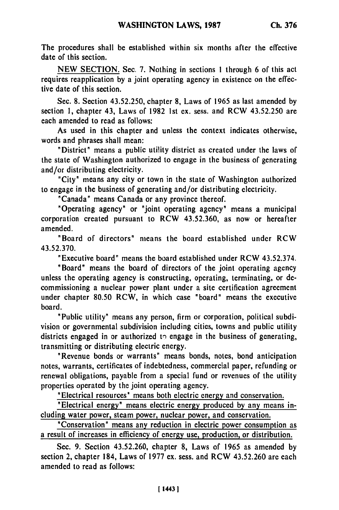The procedures shall be established within six months after the effective date of this section.

NEW SECTION. Sec. 7. Nothing in sections 1 through 6 of this act requires reapplication by a joint operating agency in existence on the effective date of this section.

Sec. 8. Section 43.52.250, chapter 8, Laws of 1965 as last amended by section 1, chapter 43, Laws of 1982 1st ex. sess. and RCW 43.52.250 are each amended to read as follows:

As used in this chapter and unless the context indicates otherwise, words and phrases shall mean:

"District" means a public utility district as created under the laws of the state of Washington authorized to engage in the business of generating and/or distributing electricity.

"City" means any city or town in the state of Washington authorized to engage in the business of generating and/or distributing electricity.

"Canada" means Canada or any province thereof.

"Operating agency" or "joint operating agency" means a municipal corporation created pursuant to RCW 43.52.360, as now or hereafter amended.

'Board of directors" means the board established under RCW 43.52.370.

"Executive board" means the board established under RCW 43.52.374.

"Board" means the board of directors of the joint operating agency unless the operating agency is constructing, operating, terminating, or decommissioning a nuclear power plant under a site certification agreement under chapter 80.50 RCW, in which case "board" means the executive board.

"Public utility" means any person, firm or corporation, political subdivision or governmental subdivision including cities, towns and public utility districts engaged in or authorized to engage in the business of generating, transmitting or distributing electric energy.

"Revenue bonds or warrants" means bonds, notes, bond anticipation notes, warrants, certificates of indebtedness, commercial paper, refunding or renewal obligations, payable from a special fund or revenues of the utility properties operated by the joint operating agency.

"Electrical resources" means both electric energy and conservation.

"Electrical energy" means electric energy produced **by** any means including water power, steam power, nuclear power, and conservation.

'Conservation" means any reduction in electric power consumption as a result of increases in efficiency of energy use, production, or distribution.

Sec. 9. Section 43.52.260, chapter 8, Laws of 1965 as amended by section 2, chapter 184, Laws of 1977 ex. sess. and RCW 43.52.260 are each amended to read as follows: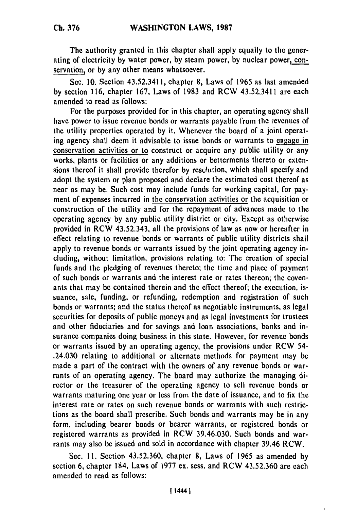The authority granted in this chapter shall apply equally to the generating of electricity by water power, by steam power, by nuclear power, conservation, or by any other means whatsoever.

Sec. 10. Section 43.52.3411, chapter 8, Laws of 1965 as last amended by section 116, chapter 167, Laws of 1983 and RCW 43.52.3411 are each amended to read as follows:

For the purposes provided for in this chapter, an operating agency shall have power to issue revenue bonds or warrants payable from the revenues of the utility properties operated by it. Whenever the board of a joint operating agency shall deem it advisable to issue bonds or warrants to engage in conservation activities or to construct or acquire any public utility or any works, plants or facilities or any additions or betterments thereto or extensions thereof it shall provide therefor by resolution, which shall specify and adopt the system or plan proposed and declare the estimated cost thereof as near as may be. Such cost may include funds for working capital, for payment of expenses incurred in the conservation activities or the acquisition or construction of the utility and for the repayment of advances made to the operating agency by any public utility district or city. Except as otherwise provided in RCW 43.52.343, all the provisions of law as now or hereafter in effect relating to revenue bonds or warrants of public utility districts shall apply to revenue bonds or warrants issued by the joint operating agency including, without limitation, provisions relating to: The creation of special funds and the pledging of revenues thereto; the time and place of payment of such bonds or warrants and the interest rate or rates thereon; the covenants that may be contained therein and the effect thereof; the execution, issuance, sale, funding, or refunding, redemption and registration of such bonds or warrants; and the status thereof as negotiable instruments, as legal securities for deposits of public moneys and as legal investments for trustees and other fiduciaries and for savings and loan associations, banks and insurance companies doing business in this state. However, for revenue bonds or warrants issued by an operating agency, the provisions under RCW 54- .24.030 relating to additional or alternate methods for payment may be made a part of the contract with the owners of any revenue bonds or warrants of an operating agency. The board may authorize the managing director or the treasurer of the operating agency to sell revenue bonds or warrants maturing one year or less from the date of issuance, and to fix the interest rate or rates on such revenue bonds or warrants with such restrictions as the board shall prescribe. Such bonds and warrants may be in any form, including bearer bonds or bearer warrants, or registered bonds or registered warrants as provided in RCW 39.46.030. Such bonds and warrants may also be issued and sold in accordance with chapter 39.46 RCW.

Sec. 11. Section 43.52.360, chapter 8, Laws of 1965 as amended by section 6, chapter 184, Laws of 1977 ex. sess. and RCW 43.52.360 are each amended to read as follows: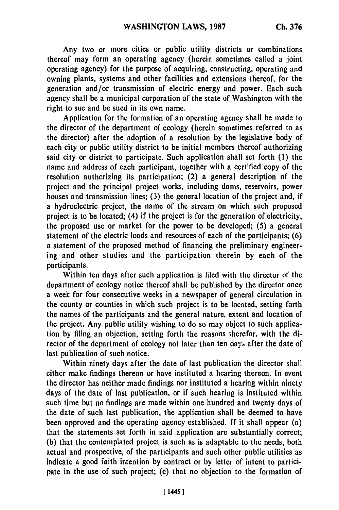Any two or more cities or public utility districts or combinations thereof may form an operating agency (herein sometimes called a joint operating agency) for the purpose of acquiring, constructing, operating and owning plants, systems and other facilities and extensions thereof, for the generation and/or transmission of electric energy and power. Each such agency shall be a municipal corporation of the state of Washington with the right to sue and be sued in its own name.

Application for the formation of an operating agency shall be made to the director of the department of ecology (herein sometimes referred to as the director) after the adoption of a resolution by the legislative body of each city or public utility district to be initial members thereof authorizing said city or district to participate. Such application shall set forth **(1)** the name and address of each participant, together with a certified copy of the resolution authorizing its participation; (2) a general description of the project and the principal project works, including dams, reservoirs, power houses and transmission lines; (3) the general location of the project and, if a hydroelectric project, the name of the stream on which such proposed project is to be located; (4) if the project is for the generation of electricity, the proposed use or market for the power to be developed; (5) a general statement of the electric loads and resources of each of the participants; (6) a statement of the proposed method of financing the preliminary engineering and other studies and the participation therein by each of the participants.

Within ten days after such application is filed with the director of the department of ecology notice thereof shall be published by the director once a week for four consecutive weeks in a newspaper of general circulation in the county or counties in which such project is to be located, setting forth the names of the participants and the general nature, extent and location of the project. Any public utility wishing to do so may object to such application by filing an objection, setting forth the reasons therefor, with the director of the department of ecology not later than ten days after the date of last publication of such notice.

Within ninety days after the date of last publication the director shall either make findings thereon or have instituted a hearing thereon. In event the director has neither made findings nor instituted a hearing within ninety days of the date of last publication, or if such hearing is instituted within such time but no findings are made within one hundred and twenty days of the date of such last publication, the application shall be deemed to have been approved and the operating agency established. If it shall appear (a) that the statements set forth in said application are substantially correct; (b) that the contemplated project is such as is adaptable to the needs, both actual and prospective, of the participants and such other public utilities as indicate a good faith intention by contract or by letter of intent to participate in the use of such project; (c) that no objection to the formation of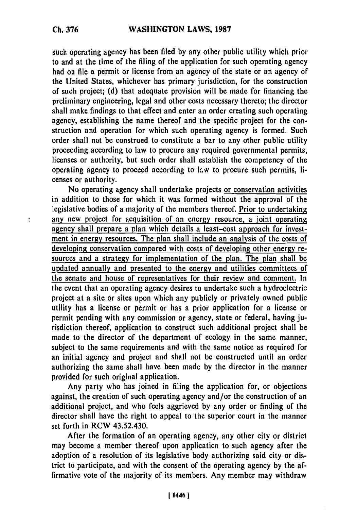such operating agency has been filed **by** any other public utility which prior to and at the time of the filing of the application for such operating agency had on file a permit or license from an agency of the state or an agency of the United States, whichever has primary jurisdiction, for the construction of such project; (d) that adequate provision will be made for financing the preliminary engineering, legal and other costs necessary thereto; the director shall make findings to that effect and enter an order creating such operating agency, establishing the name thereof and the specific project for the construction and operation for which such operating agency is formed. Such order shall not be construed to constitute a bar to any other public utility proceeding according to law to procure any required governmental permits, licenses or authority, but such order shall establish the competency of the operating agency to proceed according to law to procure such permits, licenses or authority.

No operating agency shall undertake projects or conservation activities in addition to those for which it was formed without the approval of the legislative bodies of a majority of the members thereof. Prior to undertaking any new project for acquisition of an energy resource, a joint operating agency shall prepare a plan which details a least-cost approach for investment in energy resources. The plan shall include an analysis of the costs of developing conservation compared with costs of developing other energy resources and a strategy for implementation of the plan. The plan shall be updated annually and presented to the energy and utilities committees of the senate and house of representatives for their review and comment. In the event that an operating agency desires to undertake such a hydroelectric project at a site or sites upon which any publicly or privately owned public utility has a license or permit or has a prior application for a license or permit pending with any commission or agency, state or federal, having jurisdiction thereof, application to construct such additional project shall be made to the director of the department of ecology in the same manner, subject to the same requirements and with the same notice as required for an initial agency and project and shall not be constructed until an order authorizing the same shall have been made **by** the director in the manner provided for such original application.

Any party who has joined in filing the application for, or objections against, the creation of such operating agency and/or the construction of an additional project, and who feels aggrieved **by** any order or finding of the director shall have the right to appeal to the superior court in the manner set forth in RCW 43.52.430.

After the formation of an operating agency, any other city or district may become a member thereof upon application to such agency after the adoption of a resolution of its legislative body authorizing said city or district to participate, and with the consent of the operating agency **by** the affirmative vote of the majority of its members. Any member may withdraw

t